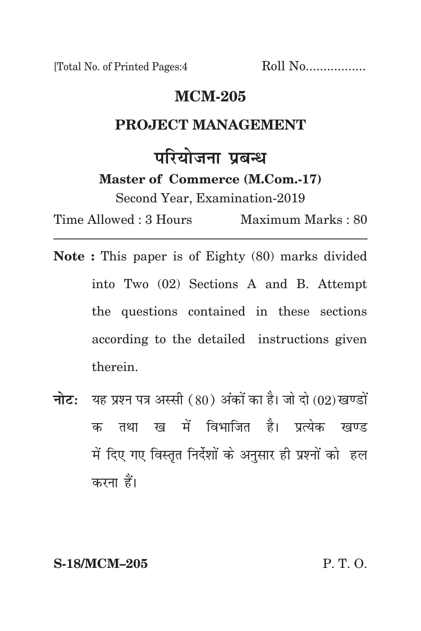[Total No. of Printed Pages:4 Roll No..................

## **mcm-205**

### PRO**JECT MANAGEMENT**

# परियोजना पबन्ध

**Master of Commerce (M.Com.-17)**

Second Year, Examination-2019

Time Allowed : 3 Hours Maximum Marks : 80

- **Note :** This paper is of Eighty (80) marks divided into Two (02) Sections A and B. Attempt the questions contained in these sections according to the detailed instructions given therein.
- **नोट:** यह प्रश्न पत्र अस्सी (80) अंकों का है। जो दो (02) खण्डों क तथा ख में विभाजित है। प्रत्येक खण्ड में दिए गए विस्तृत निर्देशों के अनुसार ही प्रश्नों को हल करना हैं।

**S-18/MCM–205** P. T. O.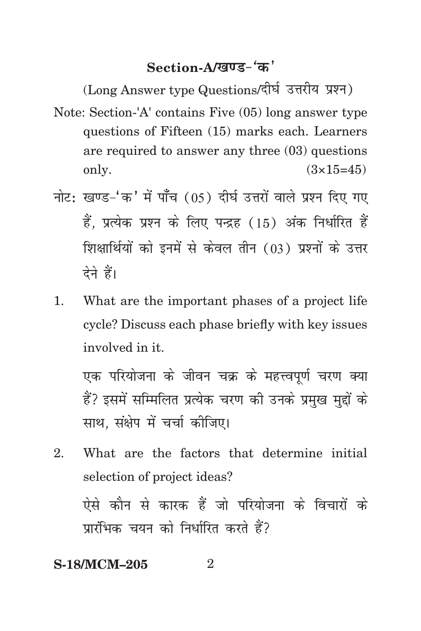## Section-A/<u>खण्ड-</u>'क'

(Long Answer type Questions/दीर्घ उत्तरीय प्रश्न) Note: Section-'A' contains Five (05) long answer type questions of Fifteen (15) marks each. Learners are required to answer any three (03) questions only.  $(3 \times 15 = 45)$ 

- नोट: खण्ड-'क' में पाँच (05) दीर्घ उत्तरों वाले प्रश्न दिए गए हैं. प्रत्येक प्रश्न के लिए पन्द्रह (15) अंक निर्धारित हैं शिक्षार्थियों को इनमें से केवल तीन (03) प्रश्नों के उत्तर देने हैं।
- 1. What are the important phases of a project life cycle? Discuss each phase briefly with key issues involved in it.

एक परियोजना के जीवन चक्र के महत्त्वपूर्ण चरण क्या हैं? इसमें सम्मिलित प्रत्येक चरण की उनके प्रमख मद्दों के साथ, संक्षेप में चर्चा कीजिए।

2. What are the factors that determine initial selection of project ideas? ऐसे कौन से कारक हैं जो परियोजना के विचारों के प्रारंभिक चयन को निर्धारित करते हैं?

### **S-18/MCM-205** 2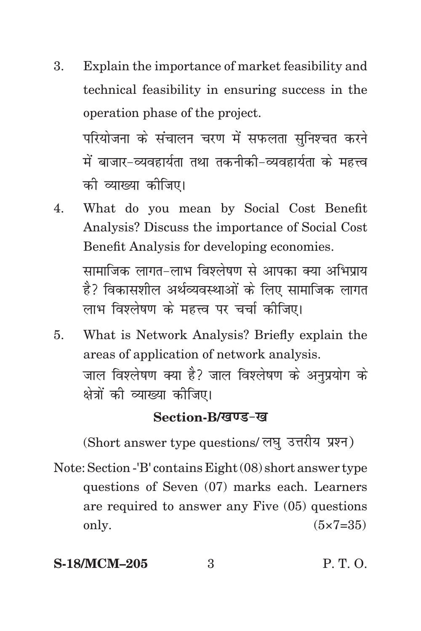3. Explain the importance of market feasibility and technical feasibility in ensuring success in the operation phase of the project.

परियोजना के संचालन चरण में सफलता सनिश्चत करने में बाजार-व्यवहार्यता तथा तकनीकी-व्यवहार्यता के महत्त्व को व्याख्या कोजिए।

4. What do you mean by Social Cost Benefit Analysis? Discuss the importance of Social Cost Benefit Analysis for developing economies.

सामाजिक लागत-लाभ विश्लेषण से आपका क्या अभिप्राय है? विकासशील अर्थव्यवस्थाओं के लिए सामाजिक लागत लाभ विश्लेषण के महत्त्व पर चर्चा कीजिए।

5. What is Network Analysis? Briefly explain the areas of application of network analysis. जाल विश्लेषण क्या है? जाल विश्लेषण के अनप्रयोग के क्षेत्रों की व्याख्या कीजिए।

## Section-B/*खण्ड-ख*

(Short answer type questions/ लघु उत्तरीय प्रश्न)

Note: Section -'B' contains Eight (08) short answer type questions of Seven (07) marks each. Learners are required to answer any Five (05) questions only.  $(5 \times 7 = 35)$